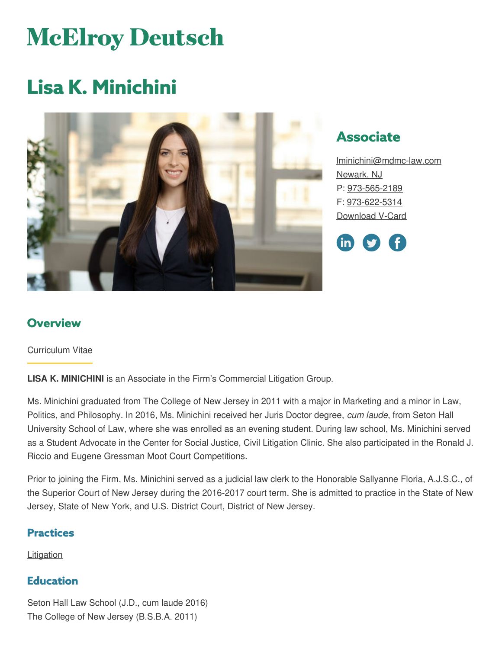# **McElroy Deutsch**

# **Lisa K. Minichini**



# **Associate**

[lminichini@mdmc-law.com](mailto:lminichini@mdmc-law.com) [Newark,](https://www.mdmc-law.com/offices/newark) NJ P: [973-565-2189](tel:973-565-2189) F: [973-622-5314](tel:973-622-5314) [Download](https://www.mdmc-law.com/node/492/vcard) V-Card



#### **Overview**

Curriculum Vitae

**LISA K. MINICHINI** is an Associate in the Firm's Commercial Litigation Group.

Ms. Minichini graduated from The College of New Jersey in 2011 with a major in Marketing and a minor in Law, Politics, and Philosophy. In 2016, Ms. Minichini received her Juris Doctor degree, *cum laude*, from Seton Hall University School of Law, where she was enrolled as an evening student. During law school, Ms. Minichini served as a Student Advocate in the Center for Social Justice, Civil Litigation Clinic. She also participated in the Ronald J. Riccio and Eugene Gressman Moot Court Competitions.

Prior to joining the Firm, Ms. Minichini served as a judicial law clerk to the Honorable Sallyanne Floria, A.J.S.C., of the Superior Court of New Jersey during the 2016-2017 court term. She is admitted to practice in the State of New Jersey, State of New York, and U.S. District Court, District of New Jersey.

#### **Practices**

**[Litigation](https://www.mdmc-law.com/practices/litigation)** 

#### **Education**

Seton Hall Law School (J.D., cum laude 2016) The College of New Jersey (B.S.B.A. 2011)